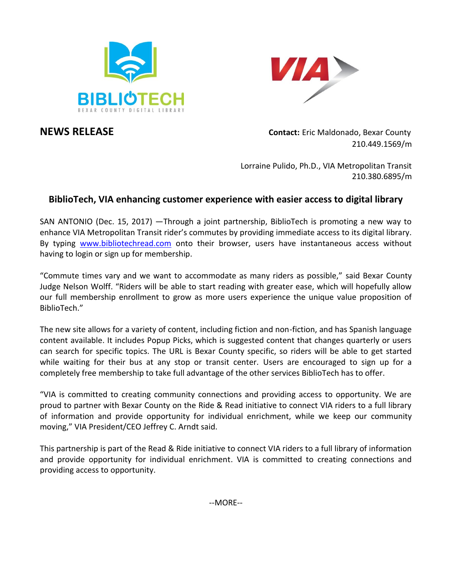



**NEWS RELEASE Contact:** Eric Maldonado, Bexar County 210.449.1569/m

> Lorraine Pulido, Ph.D., VIA Metropolitan Transit 210.380.6895/m

## **BiblioTech, VIA enhancing customer experience with easier access to digital library**

SAN ANTONIO (Dec. 15, 2017) —Through a joint partnership, BiblioTech is promoting a new way to enhance VIA Metropolitan Transit rider's commutes by providing immediate access to its digital library. By typing [www.bibliotechread.com](http://www.bibliotechread.com/) onto their browser, users have instantaneous access without having to login or sign up for membership.

"Commute times vary and we want to accommodate as many riders as possible," said Bexar County Judge Nelson Wolff. "Riders will be able to start reading with greater ease, which will hopefully allow our full membership enrollment to grow as more users experience the unique value proposition of BiblioTech."

The new site allows for a variety of content, including fiction and non-fiction, and has Spanish language content available. It includes Popup Picks, which is suggested content that changes quarterly or users can search for specific topics. The URL is Bexar County specific, so riders will be able to get started while waiting for their bus at any stop or transit center. Users are encouraged to sign up for a completely free membership to take full advantage of the other services BiblioTech has to offer.

"VIA is committed to creating community connections and providing access to opportunity. We are proud to partner with Bexar County on the Ride & Read initiative to connect VIA riders to a full library of information and provide opportunity for individual enrichment, while we keep our community moving," VIA President/CEO Jeffrey C. Arndt said.

This partnership is part of the Read & Ride initiative to connect VIA riders to a full library of information and provide opportunity for individual enrichment. VIA is committed to creating connections and providing access to opportunity.

--MORE--